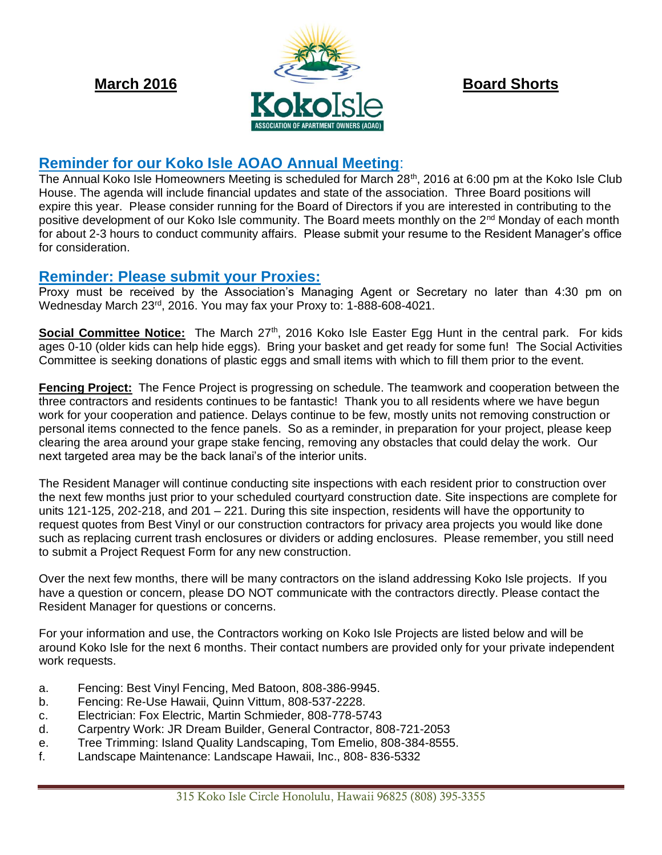

# **Reminder for our Koko Isle AOAO Annual Meeting**:

The Annual Koko Isle Homeowners Meeting is scheduled for March 28<sup>th</sup>, 2016 at 6:00 pm at the Koko Isle Club House. The agenda will include financial updates and state of the association. Three Board positions will expire this year. Please consider running for the Board of Directors if you are interested in contributing to the positive development of our Koko Isle community. The Board meets monthly on the 2<sup>nd</sup> Monday of each month for about 2-3 hours to conduct community affairs. Please submit your resume to the Resident Manager's office for consideration.

## **Reminder: Please submit your Proxies:**

Proxy must be received by the Association's Managing Agent or Secretary no later than 4:30 pm on Wednesday March 23<sup>rd</sup>, 2016. You may fax your Proxy to: 1-888-608-4021.

**Social Committee Notice:** The March 27<sup>th</sup>, 2016 Koko Isle Easter Egg Hunt in the central park. For kids ages 0-10 (older kids can help hide eggs). Bring your basket and get ready for some fun! The Social Activities Committee is seeking donations of plastic eggs and small items with which to fill them prior to the event.

**Fencing Project:** The Fence Project is progressing on schedule. The teamwork and cooperation between the three contractors and residents continues to be fantastic! Thank you to all residents where we have begun work for your cooperation and patience. Delays continue to be few, mostly units not removing construction or personal items connected to the fence panels. So as a reminder, in preparation for your project, please keep clearing the area around your grape stake fencing, removing any obstacles that could delay the work. Our next targeted area may be the back lanai's of the interior units.

The Resident Manager will continue conducting site inspections with each resident prior to construction over the next few months just prior to your scheduled courtyard construction date. Site inspections are complete for units 121-125, 202-218, and 201 – 221. During this site inspection, residents will have the opportunity to request quotes from Best Vinyl or our construction contractors for privacy area projects you would like done such as replacing current trash enclosures or dividers or adding enclosures. Please remember, you still need to submit a Project Request Form for any new construction.

Over the next few months, there will be many contractors on the island addressing Koko Isle projects. If you have a question or concern, please DO NOT communicate with the contractors directly. Please contact the Resident Manager for questions or concerns.

For your information and use, the Contractors working on Koko Isle Projects are listed below and will be around Koko Isle for the next 6 months. Their contact numbers are provided only for your private independent work requests.

- a. Fencing: Best Vinyl Fencing, Med Batoon, 808-386-9945.
- b. Fencing: Re-Use Hawaii, Quinn Vittum, 808-537-2228.
- c. Electrician: Fox Electric, Martin Schmieder, 808-778-5743
- d. Carpentry Work: JR Dream Builder, General Contractor, 808-721-2053
- e. Tree Trimming: Island Quality Landscaping, Tom Emelio, 808-384-8555.
- f. Landscape Maintenance: Landscape Hawaii, Inc., 808- 836-5332